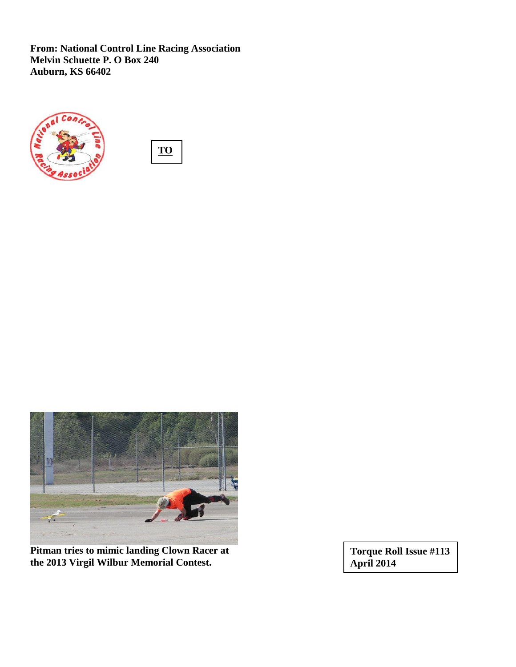**From: National Control Line Racing Association Melvin Schuette P. O Box 240 Auburn, KS 66402**







**Pitman tries to mimic landing Clown Racer at the 2013 Virgil Wilbur Memorial Contest.** 

**Torque Roll Issue #113 April 2014**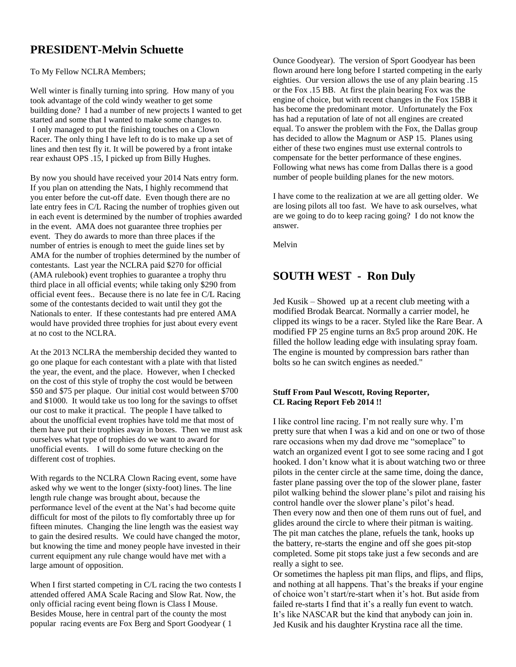# **PRESIDENT-Melvin Schuette**

#### To My Fellow NCLRA Members;

Well winter is finally turning into spring. How many of you took advantage of the cold windy weather to get some building done? I had a number of new projects I wanted to get started and some that I wanted to make some changes to. I only managed to put the finishing touches on a Clown Racer. The only thing I have left to do is to make up a set of lines and then test fly it. It will be powered by a front intake rear exhaust OPS .15, I picked up from Billy Hughes.

By now you should have received your 2014 Nats entry form. If you plan on attending the Nats, I highly recommend that you enter before the cut-off date. Even though there are no late entry fees in C/L Racing the number of trophies given out in each event is determined by the number of trophies awarded in the event. AMA does not guarantee three trophies per event. They do awards to more than three places if the number of entries is enough to meet the guide lines set by AMA for the number of trophies determined by the number of contestants. Last year the NCLRA paid \$270 for official (AMA rulebook) event trophies to guarantee a trophy thru third place in all official events; while taking only \$290 from official event fees.. Because there is no late fee in C/L Racing some of the contestants decided to wait until they got the Nationals to enter. If these contestants had pre entered AMA would have provided three trophies for just about every event at no cost to the NCLRA.

At the 2013 NCLRA the membership decided they wanted to go one plaque for each contestant with a plate with that listed the year, the event, and the place. However, when I checked on the cost of this style of trophy the cost would be between \$50 and \$75 per plaque. Our initial cost would between \$700 and \$1000. It would take us too long for the savings to offset our cost to make it practical. The people I have talked to about the unofficial event trophies have told me that most of them have put their trophies away in boxes. Then we must ask ourselves what type of trophies do we want to award for unofficial events. I will do some future checking on the different cost of trophies.

With regards to the NCLRA Clown Racing event, some have asked why we went to the longer (sixty-foot) lines. The line length rule change was brought about, because the performance level of the event at the Nat's had become quite difficult for most of the pilots to fly comfortably three up for fifteen minutes. Changing the line length was the easiest way to gain the desired results. We could have changed the motor, but knowing the time and money people have invested in their current equipment any rule change would have met with a large amount of opposition.

When I first started competing in C/L racing the two contests I attended offered AMA Scale Racing and Slow Rat. Now, the only official racing event being flown is Class I Mouse. Besides Mouse, here in central part of the county the most popular racing events are Fox Berg and Sport Goodyear ( 1

Ounce Goodyear). The version of Sport Goodyear has been flown around here long before I started competing in the early eighties. Our version allows the use of any plain bearing .15 or the Fox .15 BB. At first the plain bearing Fox was the engine of choice, but with recent changes in the Fox 15BB it has become the predominant motor. Unfortunately the Fox has had a reputation of late of not all engines are created equal. To answer the problem with the Fox, the Dallas group has decided to allow the Magnum or ASP 15. Planes using either of these two engines must use external controls to compensate for the better performance of these engines. Following what news has come from Dallas there is a good number of people building planes for the new motors.

I have come to the realization at we are all getting older. We are losing pilots all too fast. We have to ask ourselves, what are we going to do to keep racing going? I do not know the answer.

Melvin

# **SOUTH WEST - Ron Duly**

Jed Kusik – Showed up at a recent club meeting with a modified Brodak Bearcat. Normally a carrier model, he clipped its wings to be a racer. Styled like the Rare Bear. A modified FP 25 engine turns an 8x5 prop around 20K. He filled the hollow leading edge with insulating spray foam. The engine is mounted by compression bars rather than bolts so he can switch engines as needed."

#### **Stuff From Paul Wescott, Roving Reporter, CL Racing Report Feb 2014 !!**

I like control line racing. I'm not really sure why. I'm pretty sure that when I was a kid and on one or two of those rare occasions when my dad drove me "someplace" to watch an organized event I got to see some racing and I got hooked. I don't know what it is about watching two or three pilots in the center circle at the same time, doing the dance, faster plane passing over the top of the slower plane, faster pilot walking behind the slower plane's pilot and raising his control handle over the slower plane's pilot's head. Then every now and then one of them runs out of fuel, and glides around the circle to where their pitman is waiting. The pit man catches the plane, refuels the tank, hooks up the battery, re-starts the engine and off she goes pit-stop completed. Some pit stops take just a few seconds and are really a sight to see.

Or sometimes the hapless pit man flips, and flips, and flips, and nothing at all happens. That's the breaks if your engine of choice won't start/re-start when it's hot. But aside from failed re-starts I find that it's a really fun event to watch. It's like NASCAR but the kind that anybody can join in. Jed Kusik and his daughter Krystina race all the time.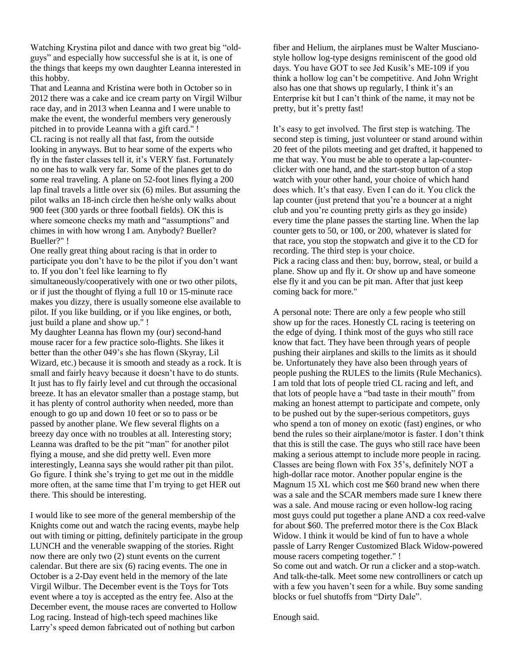Watching Krystina pilot and dance with two great big "oldguys" and especially how successful she is at it, is one of the things that keeps my own daughter Leanna interested in this hobby.

That and Leanna and Kristina were both in October so in 2012 there was a cake and ice cream party on Virgil Wilbur race day, and in 2013 when Leanna and I were unable to make the event, the wonderful members very generously pitched in to provide Leanna with a gift card." ! CL racing is not really all that fast, from the outside looking in anyways. But to hear some of the experts who fly in the faster classes tell it, it's VERY fast. Fortunately no one has to walk very far. Some of the planes get to do some real traveling. A plane on 52-foot lines flying a 200 lap final travels a little over six (6) miles. But assuming the pilot walks an 18-inch circle then he/she only walks about 900 feet (300 yards or three football fields). OK this is where someone checks my math and "assumptions" and chimes in with how wrong I am. Anybody? Bueller? Bueller?" !

One really great thing about racing is that in order to participate you don't have to be the pilot if you don't want to. If you don't feel like learning to fly

simultaneously/cooperatively with one or two other pilots, or if just the thought of flying a full 10 or 15-minute race makes you dizzy, there is usually someone else available to pilot. If you like building, or if you like engines, or both, just build a plane and show up." !

My daughter Leanna has flown my (our) second-hand mouse racer for a few practice solo-flights. She likes it better than the other 049's she has flown (Skyray, Lil Wizard, etc.) because it is smooth and steady as a rock. It is small and fairly heavy because it doesn't have to do stunts. It just has to fly fairly level and cut through the occasional breeze. It has an elevator smaller than a postage stamp, but it has plenty of control authority when needed, more than enough to go up and down 10 feet or so to pass or be passed by another plane. We flew several flights on a breezy day once with no troubles at all. Interesting story; Leanna was drafted to be the pit "man" for another pilot flying a mouse, and she did pretty well. Even more interestingly, Leanna says she would rather pit than pilot. Go figure. I think she's trying to get me out in the middle more often, at the same time that I'm trying to get HER out there. This should be interesting.

I would like to see more of the general membership of the Knights come out and watch the racing events, maybe help out with timing or pitting, definitely participate in the group LUNCH and the venerable swapping of the stories. Right now there are only two (2) stunt events on the current calendar. But there are six (6) racing events. The one in October is a 2-Day event held in the memory of the late Virgil Wilbur. The December event is the Toys for Tots event where a toy is accepted as the entry fee. Also at the December event, the mouse races are converted to Hollow Log racing. Instead of high-tech speed machines like Larry's speed demon fabricated out of nothing but carbon

fiber and Helium, the airplanes must be Walter Muscianostyle hollow log-type designs reminiscent of the good old days. You have GOT to see Jed Kusik's ME-109 if you think a hollow log can't be competitive. And John Wright also has one that shows up regularly, I think it's an Enterprise kit but I can't think of the name, it may not be pretty, but it's pretty fast!

It's easy to get involved. The first step is watching. The second step is timing, just volunteer or stand around within 20 feet of the pilots meeting and get drafted, it happened to me that way. You must be able to operate a lap-counterclicker with one hand, and the start-stop button of a stop watch with your other hand, your choice of which hand does which. It's that easy. Even I can do it. You click the lap counter (just pretend that you're a bouncer at a night club and you're counting pretty girls as they go inside) every time the plane passes the starting line. When the lap counter gets to 50, or 100, or 200, whatever is slated for that race, you stop the stopwatch and give it to the CD for recording. The third step is your choice. Pick a racing class and then: buy, borrow, steal, or build a plane. Show up and fly it. Or show up and have someone else fly it and you can be pit man. After that just keep coming back for more."

A personal note: There are only a few people who still show up for the races. Honestly CL racing is teetering on the edge of dying. I think most of the guys who still race know that fact. They have been through years of people pushing their airplanes and skills to the limits as it should be. Unfortunately they have also been through years of people pushing the RULES to the limits (Rule Mechanics). I am told that lots of people tried CL racing and left, and that lots of people have a "bad taste in their mouth" from making an honest attempt to participate and compete, only to be pushed out by the super-serious competitors, guys who spend a ton of money on exotic (fast) engines, or who bend the rules so their airplane/motor is faster. I don't think that this is still the case. The guys who still race have been making a serious attempt to include more people in racing. Classes are being flown with Fox 35's, definitely NOT a high-dollar race motor. Another popular engine is the Magnum 15 XL which cost me \$60 brand new when there was a sale and the SCAR members made sure I knew there was a sale. And mouse racing or even hollow-log racing most guys could put together a plane AND a cox reed-valve for about \$60. The preferred motor there is the Cox Black Widow. I think it would be kind of fun to have a whole passle of Larry Renger Customized Black Widow-powered mouse racers competing together." !

So come out and watch. Or run a clicker and a stop-watch. And talk-the-talk. Meet some new controlliners or catch up with a few you haven't seen for a while. Buy some sanding blocks or fuel shutoffs from "Dirty Dale".

Enough said.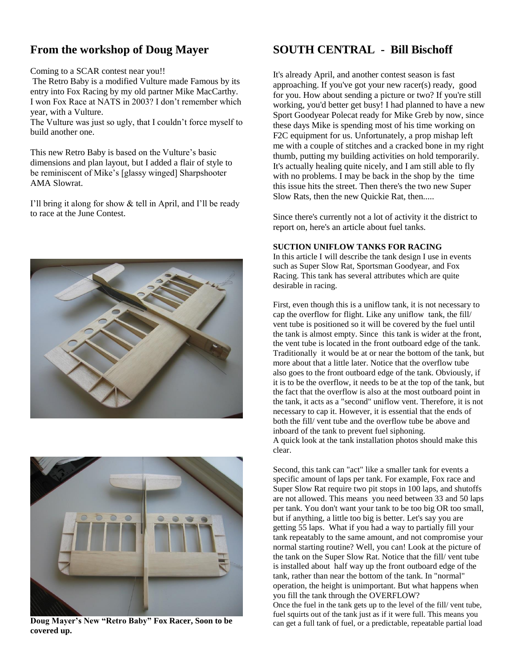# **From the workshop of Doug Mayer**

#### Coming to a SCAR contest near you!!

The Retro Baby is a modified Vulture made Famous by its entry into Fox Racing by my old partner Mike MacCarthy. I won Fox Race at NATS in 2003? I don't remember which year, with a Vulture.

The Vulture was just so ugly, that I couldn't force myself to build another one.

This new Retro Baby is based on the Vulture's basic dimensions and plan layout, but I added a flair of style to be reminiscent of Mike's [glassy winged] Sharpshooter AMA Slowrat.

I'll bring it along for show & tell in April, and I'll be ready to race at the June Contest.





**Doug Mayer's New "Retro Baby" Fox Racer, Soon to be covered up.**

# **SOUTH CENTRAL - Bill Bischoff**

It's already April, and another contest season is fast approaching. If you've got your new racer(s) ready, good for you. How about sending a picture or two? If you're still working, you'd better get busy! I had planned to have a new Sport Goodyear Polecat ready for Mike Greb by now, since these days Mike is spending most of his time working on F2C equipment for us. Unfortunately, a prop mishap left me with a couple of stitches and a cracked bone in my right thumb, putting my building activities on hold temporarily. It's actually healing quite nicely, and I am still able to fly with no problems. I may be back in the shop by the time this issue hits the street. Then there's the two new Super Slow Rats, then the new Quickie Rat, then.....

Since there's currently not a lot of activity it the district to report on, here's an article about fuel tanks.

#### **SUCTION UNIFLOW TANKS FOR RACING**

In this article I will describe the tank design I use in events such as Super Slow Rat, Sportsman Goodyear, and Fox Racing. This tank has several attributes which are quite desirable in racing.

First, even though this is a uniflow tank, it is not necessary to cap the overflow for flight. Like any uniflow tank, the fill/ vent tube is positioned so it will be covered by the fuel until the tank is almost empty. Since this tank is wider at the front, the vent tube is located in the front outboard edge of the tank. Traditionally it would be at or near the bottom of the tank, but more about that a little later. Notice that the overflow tube also goes to the front outboard edge of the tank. Obviously, if it is to be the overflow, it needs to be at the top of the tank, but the fact that the overflow is also at the most outboard point in the tank, it acts as a "second" uniflow vent. Therefore, it is not necessary to cap it. However, it is essential that the ends of both the fill/ vent tube and the overflow tube be above and inboard of the tank to prevent fuel siphoning. A quick look at the tank installation photos should make this clear.

Second, this tank can "act" like a smaller tank for events a specific amount of laps per tank. For example, Fox race and Super Slow Rat require two pit stops in 100 laps, and shutoffs are not allowed. This means you need between 33 and 50 laps per tank. You don't want your tank to be too big OR too small, but if anything, a little too big is better. Let's say you are getting 55 laps. What if you had a way to partially fill your tank repeatably to the same amount, and not compromise your normal starting routine? Well, you can! Look at the picture of the tank on the Super Slow Rat. Notice that the fill/ vent tube is installed about half way up the front outboard edge of the tank, rather than near the bottom of the tank. In "normal" operation, the height is unimportant. But what happens when you fill the tank through the OVERFLOW? Once the fuel in the tank gets up to the level of the fill/ vent tube, fuel squirts out of the tank just as if it were full. This means you can get a full tank of fuel, or a predictable, repeatable partial load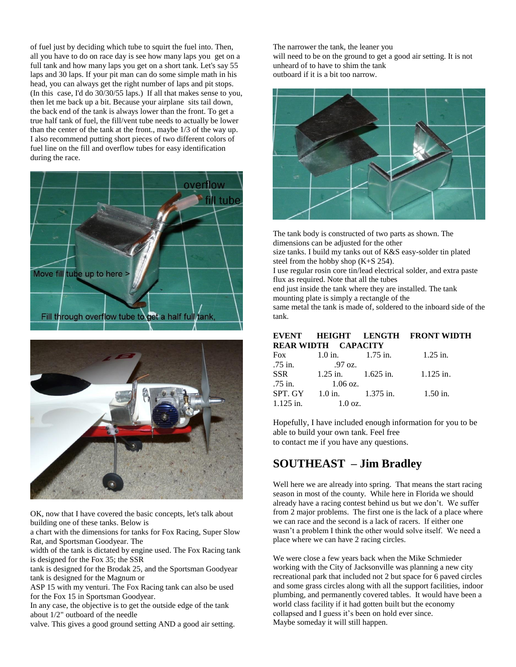of fuel just by deciding which tube to squirt the fuel into. Then, all you have to do on race day is see how many laps you get on a full tank and how many laps you get on a short tank. Let's say 55 laps and 30 laps. If your pit man can do some simple math in his head, you can always get the right number of laps and pit stops. (In this case, I'd do 30/30/55 laps.) If all that makes sense to you, then let me back up a bit. Because your airplane sits tail down, the back end of the tank is always lower than the front. To get a true half tank of fuel, the fill/vent tube needs to actually be lower than the center of the tank at the front., maybe 1/3 of the way up. I also recommend putting short pieces of two different colors of fuel line on the fill and overflow tubes for easy identification during the race.





OK, now that I have covered the basic concepts, let's talk about building one of these tanks. Below is

a chart with the dimensions for tanks for Fox Racing, Super Slow Rat, and Sportsman Goodyear. The

width of the tank is dictated by engine used. The Fox Racing tank is designed for the Fox 35; the SSR

tank is designed for the Brodak 25, and the Sportsman Goodyear tank is designed for the Magnum or

ASP 15 with my venturi. The Fox Racing tank can also be used for the Fox 15 in Sportsman Goodyear.

In any case, the objective is to get the outside edge of the tank about 1/2" outboard of the needle

valve. This gives a good ground setting AND a good air setting.

The narrower the tank, the leaner you will need to be on the ground to get a good air setting. It is not unheard of to have to shim the tank outboard if it is a bit too narrow.



The tank body is constructed of two parts as shown. The dimensions can be adjusted for the other size tanks. I build my tanks out of K&S easy-solder tin plated steel from the hobby shop (K+S 254). I use regular rosin core tin/lead electrical solder, and extra paste flux as required. Note that all the tubes end just inside the tank where they are installed. The tank mounting plate is simply a rectangle of the same metal the tank is made of, soldered to the inboard side of the tank.

#### **EVENT HEIGHT LENGTH FRONT WIDTH REAR WIDTH CAPACITY**

| <b>Fox</b>  | $1.0$ in.          | $1.75$ in.             | $1.25$ in.  |
|-------------|--------------------|------------------------|-------------|
| $.75$ in.   | .97 oz.            |                        |             |
| <b>SSR</b>  |                    | $1.25$ in. $1.625$ in. | $1.125$ in. |
| .75 in.     | $1.06 \text{ oz.}$ |                        |             |
| SPT. GY     |                    | 1.0 in. $1.375$ in.    | $1.50$ in.  |
| $1.125$ in. | $1.0 \text{ oz.}$  |                        |             |

Hopefully, I have included enough information for you to be able to build your own tank. Feel free to contact me if you have any questions.

# **SOUTHEAST – Jim Bradley**

Well here we are already into spring. That means the start racing season in most of the county. While here in Florida we should already have a racing contest behind us but we don't. We suffer from 2 major problems. The first one is the lack of a place where we can race and the second is a lack of racers. If either one wasn't a problem I think the other would solve itself. We need a place where we can have 2 racing circles.

We were close a few years back when the Mike Schmieder working with the City of Jacksonville was planning a new city recreational park that included not 2 but space for 6 paved circles and some grass circles along with all the support facilities, indoor plumbing, and permanently covered tables. It would have been a world class facility if it had gotten built but the economy collapsed and I guess it's been on hold ever since. Maybe someday it will still happen.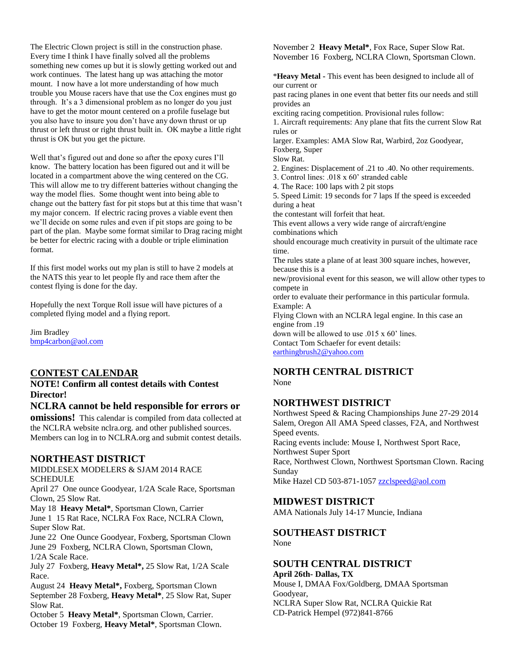The Electric Clown project is still in the construction phase. Every time I think I have finally solved all the problems something new comes up but it is slowly getting worked out and work continues. The latest hang up was attaching the motor mount. I now have a lot more understanding of how much trouble you Mouse racers have that use the Cox engines must go through. It's a 3 dimensional problem as no longer do you just have to get the motor mount centered on a profile fuselage but you also have to insure you don't have any down thrust or up thrust or left thrust or right thrust built in. OK maybe a little right thrust is OK but you get the picture.

Well that's figured out and done so after the epoxy cures I'll know. The battery location has been figured out and it will be located in a compartment above the wing centered on the CG. This will allow me to try different batteries without changing the way the model flies. Some thought went into being able to change out the battery fast for pit stops but at this time that wasn't my major concern. If electric racing proves a viable event then we'll decide on some rules and even if pit stops are going to be part of the plan. Maybe some format similar to Drag racing might be better for electric racing with a double or triple elimination format.

If this first model works out my plan is still to have 2 models at the NATS this year to let people fly and race them after the contest flying is done for the day.

Hopefully the next Torque Roll issue will have pictures of a completed flying model and a flying report.

Jim Bradley [bmp4carbon@aol.com](mailto:bmp4carbon@aol.com)

## **CONTEST CALENDAR**

**NOTE! Confirm all contest details with Contest Director!**

## **NCLRA cannot be held responsible for errors or**

**omissions!** This calendar is compiled from data collected at the NCLRA website nclra.org. and other published sources. Members can log in to NCLRA.org and submit contest details.

### **NORTHEAST DISTRICT**

MIDDLESEX MODELERS & SJAM 2014 RACE **SCHEDULE** 

April 27 One ounce Goodyear, 1/2A Scale Race, Sportsman Clown, 25 Slow Rat.

May 18 **Heavy Metal\***, Sportsman Clown, Carrier June 1 15 Rat Race, NCLRA Fox Race, NCLRA Clown, Super Slow Rat.

June 22 One Ounce Goodyear, Foxberg, Sportsman Clown June 29 Foxberg, NCLRA Clown, Sportsman Clown, 1/2A Scale Race.

July 27 Foxberg, **Heavy Metal\*,** 25 Slow Rat, 1/2A Scale Race.

August 24 **Heavy Metal\*,** Foxberg, Sportsman Clown September 28 Foxberg, **Heavy Metal\***, 25 Slow Rat, Super Slow Rat.

October 5 **Heavy Metal\***, Sportsman Clown, Carrier. October 19 Foxberg, **Heavy Metal\***, Sportsman Clown. November 2 **Heavy Metal\***, Fox Race, Super Slow Rat. November 16 Foxberg, NCLRA Clown, Sportsman Clown.

\***Heavy Metal -** This event has been designed to include all of our current or

past racing planes in one event that better fits our needs and still provides an

exciting racing competition. Provisional rules follow:

1. Aircraft requirements: Any plane that fits the current Slow Rat rules or

larger. Examples: AMA Slow Rat, Warbird, 2oz Goodyear, Foxberg, Super

Slow Rat.

- 2. Engines: Displacement of .21 to .40. No other requirements.
- 3. Control lines: .018 x 60' stranded cable
- 4. The Race: 100 laps with 2 pit stops

5. Speed Limit: 19 seconds for 7 laps If the speed is exceeded during a heat

the contestant will forfeit that heat.

This event allows a very wide range of aircraft/engine combinations which

should encourage much creativity in pursuit of the ultimate race time.

The rules state a plane of at least 300 square inches, however, because this is a

new/provisional event for this season, we will allow other types to compete in

order to evaluate their performance in this particular formula. Example: A

Flying Clown with an NCLRA legal engine. In this case an engine from .19

down will be allowed to use .015 x 60' lines. Contact Tom Schaefer for event details:

[earthingbrush2@yahoo.com](mailto:earthingbrush2@yahoo.com)

## **NORTH CENTRAL DISTRICT**

None

## **NORTHWEST DISTRICT**

Northwest Speed & Racing Championships June 27-29 2014 Salem, Oregon All AMA Speed classes, F2A, and Northwest Speed events. Racing events include: Mouse I, Northwest Sport Race, Northwest Super Sport Race, Northwest Clown, Northwest Sportsman Clown. Racing Sunday Mike Hazel CD 503-871-1057 [zzclspeed@aol.com](mailto:zzclspeed@aol.com)

## **MIDWEST DISTRICT**

AMA Nationals July 14-17 Muncie, Indiana

#### **SOUTHEAST DISTRICT** None

# **SOUTH CENTRAL DISTRICT**

#### **April 26th- Dallas, TX**

Mouse I, DMAA Fox/Goldberg, DMAA Sportsman Goodyear, NCLRA Super Slow Rat, NCLRA Quickie Rat CD-Patrick Hempel (972)841-8766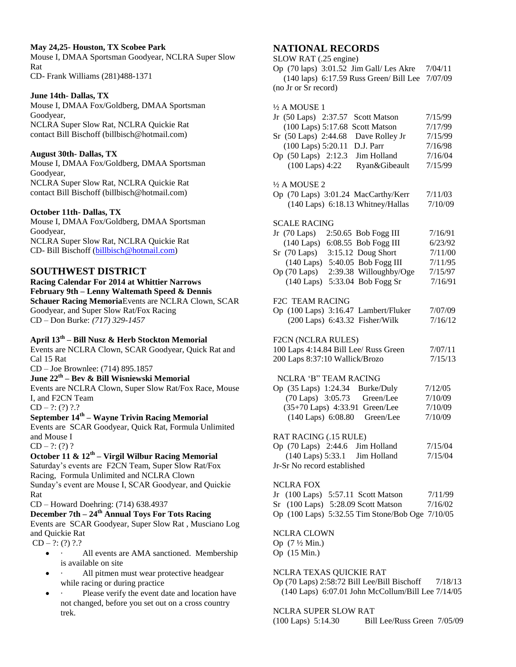#### **May 24,25- Houston, TX Scobee Park**

Mouse I, DMAA Sportsman Goodyear, NCLRA Super Slow Rat CD- Frank Williams (281)488-1371

#### **June 14th- Dallas, TX**

Mouse I, DMAA Fox/Goldberg, DMAA Sportsman Goodyear, NCLRA Super Slow Rat, NCLRA Quickie Rat contact Bill Bischoff (billbisch@hotmail.com)

#### **August 30th- Dallas, TX**

Mouse I, DMAA Fox/Goldberg, DMAA Sportsman Goodyear, NCLRA Super Slow Rat, NCLRA Quickie Rat contact Bill Bischoff (billbisch@hotmail.com)

#### **October 11th- Dallas, TX**

Mouse I, DMAA Fox/Goldberg, DMAA Sportsman Goodyear, NCLRA Super Slow Rat, NCLRA Quickie Rat CD- Bill Bischoff [\(billbisch@hotmail.com\)](mailto:billbisch@hotmail.com)

## **SOUTHWEST DISTRICT**

### **Racing Calendar For 2014 at Whittier Narrows February 9th – Lenny Waltemath Speed & Dennis Schauer Racing Memoria**Events are NCLRA Clown, SCAR

Goodyear, and Super Slow Rat/Fox Racing CD – Don Burke: *(717) 329-1457*

## **April 13th – Bill Nusz & Herb Stockton Memorial**

Events are NCLRA Clown, SCAR Goodyear, Quick Rat and Cal 15 Rat

CD – Joe Brownlee: (714) 895.1857

## **June 22th – Bev & Bill Wisniewski Memorial**

Events are NCLRA Clown, Super Slow Rat/Fox Race, Mouse I, and F2CN Team

 $CD - ?: (?) ? ? ?$ 

## **September 14th – Wayne Trivin Racing Memorial**

Events are SCAR Goodyear, Quick Rat, Formula Unlimited and Mouse I

 $CD - ?: (?) ?$ 

## **October 11 & 12th – Virgil Wilbur Racing Memorial**

Saturday's events are F2CN Team, Super Slow Rat/Fox Racing, Formula Unlimited and NCLRA Clown Sunday's event are Mouse I, SCAR Goodyear, and Quickie Rat

CD – Howard Doehring: (714) 638.4937

#### **December 7th – 24th Annual Toys For Tots Racing** Events are SCAR Goodyear, Super Slow Rat , Musciano Log

and Quickie Rat

 $CD - ?: (?) ?$ .?

- All events are AMA sanctioned. Membership is available on site
- All pitmen must wear protective headgear while racing or during practice
- Please verify the event date and location have not changed, before you set out on a cross country trek.

## **NATIONAL RECORDS**

SLOW RAT (.25 engine)

Op (70 laps) 3:01.52 Jim Gall/ Les Akre 7/04/11 (140 laps) 6:17.59 Russ Green/ Bill Lee 7/07/09 (no Jr or Sr record)

| $\frac{1}{2}$ A MOUSE 1                                                        |         |
|--------------------------------------------------------------------------------|---------|
| Jr (50 Laps) 2:37.57<br><b>Scott Matson</b>                                    | 7/15/99 |
| (100 Laps) 5:17.68<br><b>Scott Matson</b>                                      | 7/17/99 |
| Sr (50 Laps) 2:44.68<br>Dave Rolley Jr                                         | 7/15/99 |
| (100 Laps) 5:20.11<br>D.J. Parr                                                | 7/16/98 |
| Op (50 Laps) 2:12.3<br>Jim Holland                                             | 7/16/04 |
| $(100$ Laps) $4:22$<br>Ryan&Gibeault                                           | 7/15/99 |
| $\frac{1}{2}$ A MOUSE 2                                                        |         |
| Op (70 Laps) 3:01.24 MacCarthy/Kerr                                            | 7/11/03 |
| (140 Laps) 6:18.13 Whitney/Hallas                                              | 7/10/09 |
|                                                                                |         |
| <b>SCALE RACING</b>                                                            |         |
| Jr $(70 \text{ Laps})$<br>2:50.65 Bob Fogg III                                 | 7/16/91 |
| 6:08.55 Bob Fogg III<br>$(140 \text{ Laps})$                                   | 6/23/92 |
| 3:15.12 Doug Short<br>$Sr$ (70 Laps)                                           | 7/11/00 |
| (140 Laps) 5:40.05 Bob Fogg III                                                | 7/11/95 |
| Op (70 Laps) 2:39.38 Willoughby/Oge                                            | 7/15/97 |
| (140 Laps) 5:33.04 Bob Fogg Sr                                                 | 7/16/91 |
| F2C TEAM RACING                                                                |         |
| Op (100 Laps) 3:16.47 Lambert/Fluker                                           | 7/07/09 |
| (200 Laps) 6:43.32 Fisher/Wilk                                                 | 7/16/12 |
|                                                                                |         |
| F2CN (NCLRA RULES)<br>100 Laps 4:14.84 Bill Lee/ Russ Green                    | 7/07/11 |
|                                                                                |         |
| 200 Laps 8:37:10 Wallick/Brozo                                                 | 7/15/13 |
| NCLRA 'B" TEAM RACING                                                          |         |
| <b>Burke/Duly</b><br>Op (35 Laps) 1:24.34                                      | 7/12/05 |
| (70 Laps) 3:05.73<br>Green/Lee                                                 | 7/10/09 |
| (35+70 Laps) 4:33.91 Green/Lee                                                 | 7/10/09 |
| (140 Laps) 6:08.80<br>Green/Lee                                                | 7/10/09 |
| RAT RACING (.15 RULE)                                                          |         |
|                                                                                | 7/15/04 |
| Op $(70 \text{ Laps})$ 2:44.6 Jim Holland<br>$(140$ Laps) $5:33.1$ Jim Holland | 7/15/04 |
| Jr-Sr No record established                                                    |         |
|                                                                                |         |
| <b>NCLRA FOX</b>                                                               |         |
| Jr $(100 \text{ Laps})$ 5:57.11 Scott Matson                                   | 7/11/99 |
| Sr (100 Laps) 5:28.09 Scott Matson                                             | 7/16/02 |
| Op (100 Laps) 5:32.55 Tim Stone/Bob Oge 7/10/05                                |         |
| <b>NCLRA CLOWN</b>                                                             |         |
| Op $(7\frac{1}{2})$ Min.)                                                      |         |

Op (15 Min.)

#### NCLRA TEXAS QUICKIE RAT

Op (70 Laps) 2:58:72 Bill Lee/Bill Bischoff 7/18/13 (140 Laps) 6:07.01 John McCollum/Bill Lee 7/14/05

#### NCLRA SUPER SLOW RAT

(100 Laps) 5:14.30 Bill Lee/Russ Green 7/05/09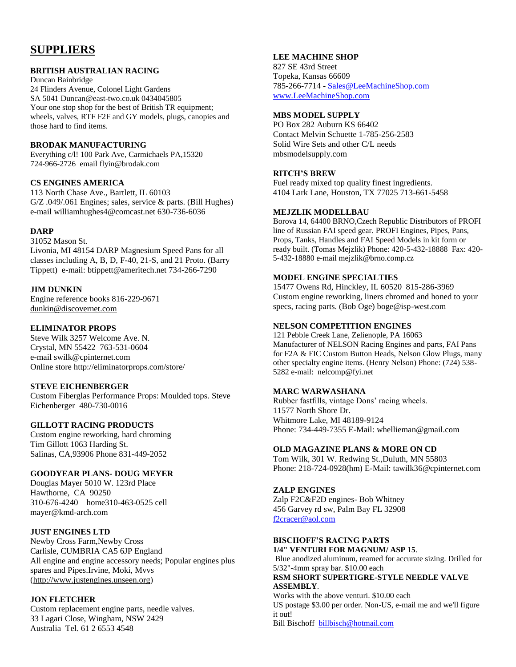# **SUPPLIERS**

#### **BRITISH AUSTRALIAN RACING**

Duncan Bainbridge 24 Flinders Avenue, Colonel Light Gardens SA 5041 [Duncan@east-two.co.uk](mailto:Duncan@east-two.co.uk) 0434045805 Your one stop shop for the best of British TR equipment; wheels, valves, RTF F2F and GY models, plugs, canopies and those hard to find items.

### **BRODAK MANUFACTURING**

Everything c/l! 100 Park Ave, Carmichaels PA,15320 724-966-2726 email flyin@brodak.com

## **CS ENGINES AMERICA**

113 North Chase Ave., Bartlett, IL 60103 G/Z .049/.061 Engines; sales, service & parts. (Bill Hughes) e-mail williamhughes4@comcast.net 630-736-6036

### **DARP**

31052 Mason St. Livonia, MI 48154 DARP Magnesium Speed Pans for all classes including A, B, D, F-40, 21-S, and 21 Proto. (Barry Tippett) e-mail: btippett@ameritech.net 734-266-7290

## **JIM DUNKIN**

Engine reference books 816-229-9671 [dunkin@discovernet.com](mailto:dunkin@discovernet.com)

### **ELIMINATOR PROPS**

Steve Wilk 3257 Welcome Ave. N. Crystal, MN 55422 763-531-0604 e-mail swilk@cpinternet.com Online store http://eliminatorprops.com/store/

## **STEVE EICHENBERGER**

Custom Fiberglas Performance Props: Moulded tops. Steve Eichenberger 480-730-0016

## **GILLOTT RACING PRODUCTS**

Custom engine reworking, hard chroming Tim Gillott 1063 Harding St. Salinas, CA,93906 Phone 831-449-2052

#### **GOODYEAR PLANS- DOUG MEYER**

Douglas Mayer 5010 W. 123rd Place Hawthorne, CA 90250 310-676-4240 home310-463-0525 cell mayer@kmd-arch.com

## **JUST ENGINES LTD**

Newby Cross Farm,Newby Cross Carlisle, CUMBRIA CA5 6JP England All engine and engine accessory needs; Popular engines plus spares and Pipes.Irvine, Moki, Mvvs [\(http://www.justengines.unseen.org\)](http://www.justengines.unseen.org/)

## **JON FLETCHER**

Custom replacement engine parts, needle valves. 33 Lagari Close, Wingham, NSW 2429 Australia Tel. 61 2 6553 4548

### **LEE MACHINE SHOP**

827 SE 43rd Street Topeka, Kansas 66609 785-266-7714 - [Sales@LeeMachineShop.com](mailto:Sales@LeeMachineShop.com) [www.LeeMachineShop.com](http://www.leemachineshop.com/)

### **MBS MODEL SUPPLY**

PO Box 282 Auburn KS 66402 Contact Melvin Schuette 1-785-256-2583 Solid Wire Sets and other C/L needs mbsmodelsupply.com

## **RITCH'S BREW**

Fuel ready mixed top quality finest ingredients. 4104 Lark Lane, Houston, TX 77025 713-661-5458

### **MEJZLIK MODELLBAU**

Borova 14, 64400 BRNO,Czech Republic Distributors of PROFI line of Russian FAI speed gear. PROFI Engines, Pipes, Pans, Props, Tanks, Handles and FAI Speed Models in kit form or ready built. (Tomas Mejzlik) Phone: 420-5-432-18888 Fax: 420- 5-432-18880 e-mail mejzlik@brno.comp.cz

### **MODEL ENGINE SPECIALTIES**

15477 Owens Rd, Hinckley, IL 60520 815-286-3969 Custom engine reworking, liners chromed and honed to your specs, racing parts. (Bob Oge) boge@isp-west.com

### **NELSON COMPETITION ENGINES**

121 Pebble Creek Lane, Zelienople, PA 16063 Manufacturer of NELSON Racing Engines and parts, FAI Pans for F2A & FIC Custom Button Heads, Nelson Glow Plugs, many other specialty engine items. (Henry Nelson) Phone: (724) 538- 5282 e-mail: nelcomp@fyi.net

## **MARC WARWASHANA**

Rubber fastfills, vintage Dons' racing wheels. 11577 North Shore Dr. Whitmore Lake, MI 48189-9124 Phone: 734-449-7355 E-Mail: whellieman@gmail.com

## **OLD MAGAZINE PLANS & MORE ON CD**

Tom Wilk, 301 W. Redwing St.,Duluth, MN 55803 Phone: 218-724-0928(hm) E-Mail: tawilk36@cpinternet.com

## **ZALP ENGINES**

Zalp F2C&F2D engines- Bob Whitney 456 Garvey rd sw, Palm Bay FL 32908 [f2cracer@aol.com](mailto:f2cracer@aol.com)

# **BISCHOFF'S RACING PARTS**

**1/4" VENTURI FOR MAGNUM/ ASP 15**.

Blue anodized aluminum, reamed for accurate sizing. Drilled for 5/32"-4mm spray bar. \$10.00 each

#### **RSM SHORT SUPERTIGRE-STYLE NEEDLE VALVE ASSEMBLY**.

Works with the above venturi. \$10.00 each US postage \$3.00 per order. Non-US, e-mail me and we'll figure it out! Bill Bischoff [billbisch@hotmail.com](mailto:billbisch@hotmail.com)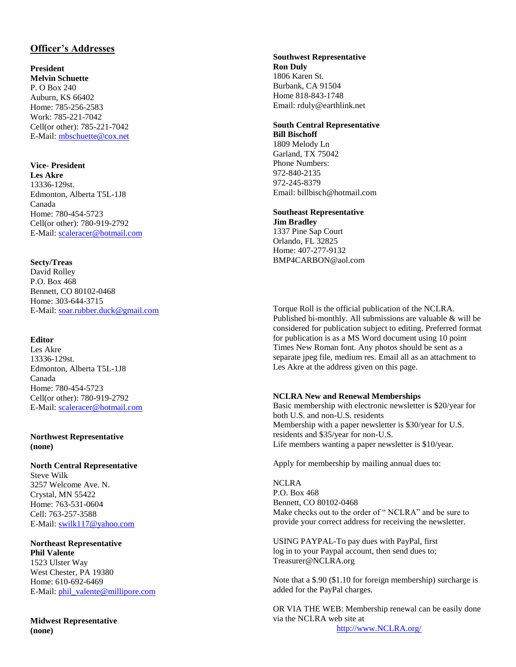## **Officer's Addresses**

### **President**

**Melvin Schuette** P. O Box 240 Auburn, KS 66402 Home: 785 -256 -2583 Work: 785 -221 -7042 Cell(or other): 785 -221 -7042 E-Mail: [mbschuette@cox.net](mailto:mbschuette@cox.net)

#### **Vice - President**

**Les Akre** 13336 -129st. Edmonton, Alberta T5L -1J8 Canada Home: 780-454-5723 Cell(or other): 780 -919 -2792 E-Mail: [scaleracer@hotmail.com](mailto:scaleracer@hotmail.com)

#### **Secty/Treas**

David Rolley P.O. Box 468 Bennett, CO 80102 -0468 Home: 303 -644 -3715 E -Mail: [soar.rubber.duck@gmail.com](mailto:soar.rubber.duck@gmail.com)

#### **Editor**

Les Akre 13336 -129st. Edmonton, Alberta T5L -1J8 Canada Home: 780 -454 -5723 Cell(or other): 780 -919 -2792 E-Mail: [scaleracer@hotmail.com](mailto:scaleracer@hotmail.com)

#### **Northwest Representative (none)**

## **North Central Representative**

Steve Wilk 3257 Welcome Ave. N. Crystal, MN 55422 Home: 763 -531 -0604 Cell: 763 -257 -3588 E-Mail: <u>swilk117@yahoo.com</u>

## **Northeast Representative**

**Phil Valente** 1523 Ulster Way West Chester, PA 19380 Home: 610 -692 -6469 E-Mail: *phil\_valente@millipore.com* 

**Midwest Representative (none)**

#### **Southwest Representative Ron Duly** 1806 Karen St. Burbank, CA 91504 Home 818 -843 -1748 Email: rduly@earthlink.net

#### **South Central Representative Bill Bischoff**

1809 Melody Ln Garland, TX 75042 Phone Numbers: 972 -840 -2135 972 -245 -8379 Email: billbisch@hotmail.com

#### **Southeast Representative**

**Jim Bradley** 1337 Pine Sap Court Orlando, FL 32825 Home: 407-277-9132 BMP4CARBON@aol.com

Torque Roll is the official publication of the NCLRA. Published bi -monthly. All submissions are valuable & will be considered for publication subject to editing. Preferred format for publication is as a MS Word document using 10 point Times New Roman font. Any photos should be sent as a separate jpeg file, medium res. Email all as an attachment to Les Akre at the address given on this page.

#### **NCLRA New and Renewal Memberships**

Basic membership with electronic newsletter is \$20/year for both U.S. and non -U.S. residents Membership with a paper newsletter is \$30/year for U.S. residents and \$35/year for non -U.S. Life members wanting a paper newsletter is \$10/year.

Apply for membership by mailing annual dues to:

NCLRA P.O. Box 468 Bennett, CO 80102 -0468 Make checks out to the order of " NCLRA" and be sure to provide your correct address for receiving the newsletter.

USING PAYPAL -To pay dues with PayPal, first log in to your Paypal account, then send dues to; Treasurer@NCLRA.org

Note that a \$.90 (\$1.10 for foreign membership) surcharge is added for the PayPal charges.

OR VIA THE WEB: Membership renewal can be easily done via the NCLRA web site at [http://www.NCLRA.org/](http://www.nclra.org/)